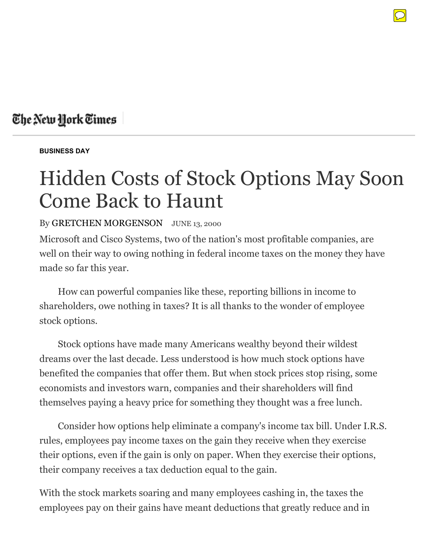## The New York Times |

## **[BUSINESS DAY](https://www.nytimes.com/pages/business/index.html)**

## Hidden Costs of Stock Options May Soon Come Back to Haunt

## By [GRETCHEN MORGENSON](https://www.nytimes.com/by/gretchen-morgenson) JUNE 13, 2000

Microsoft and Cisco Systems, two of the nation's most profitable companies, are well on their way to owing nothing in federal income taxes on the money they have made so far this year.

How can powerful companies like these, reporting billions in income to shareholders, owe nothing in taxes? It is all thanks to the wonder of employee stock options.

Stock options have made many Americans wealthy beyond their wildest dreams over the last decade. Less understood is how much stock options have benefited the companies that offer them. But when stock prices stop rising, some economists and investors warn, companies and their shareholders will find themselves paying a heavy price for something they thought was a free lunch.

Consider how options help eliminate a company's income tax bill. Under I.R.S. rules, employees pay income taxes on the gain they receive when they exercise their options, even if the gain is only on paper. When they exercise their options, their company receives a tax deduction equal to the gain.

With the stock markets soaring and many employees cashing in, the taxes the employees pay on their gains have meant deductions that greatly reduce and in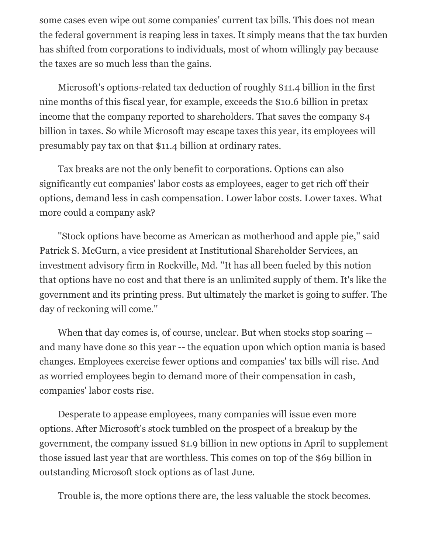some cases even wipe out some companies' current tax bills. This does not mean the federal government is reaping less in taxes. It simply means that the tax burden has shifted from corporations to individuals, most of whom willingly pay because the taxes are so much less than the gains.

Microsoft's options-related tax deduction of roughly \$11.4 billion in the first nine months of this fiscal year, for example, exceeds the \$10.6 billion in pretax income that the company reported to shareholders. That saves the company \$4 billion in taxes. So while Microsoft may escape taxes this year, its employees will presumably pay tax on that \$11.4 billion at ordinary rates.

Tax breaks are not the only benefit to corporations. Options can also significantly cut companies' labor costs as employees, eager to get rich off their options, demand less in cash compensation. Lower labor costs. Lower taxes. What more could a company ask?

''Stock options have become as American as motherhood and apple pie,'' said Patrick S. McGurn, a vice president at Institutional Shareholder Services, an investment advisory firm in Rockville, Md. ''It has all been fueled by this notion that options have no cost and that there is an unlimited supply of them. It's like the government and its printing press. But ultimately the market is going to suffer. The day of reckoning will come.''

When that day comes is, of course, unclear. But when stocks stop soaring - and many have done so this year -- the equation upon which option mania is based changes. Employees exercise fewer options and companies' tax bills will rise. And as worried employees begin to demand more of their compensation in cash, companies' labor costs rise.

Desperate to appease employees, many companies will issue even more options. After Microsoft's stock tumbled on the prospect of a breakup by the government, the company issued \$1.9 billion in new options in April to supplement those issued last year that are worthless. This comes on top of the \$69 billion in outstanding Microsoft stock options as of last June.

Trouble is, the more options there are, the less valuable the stock becomes.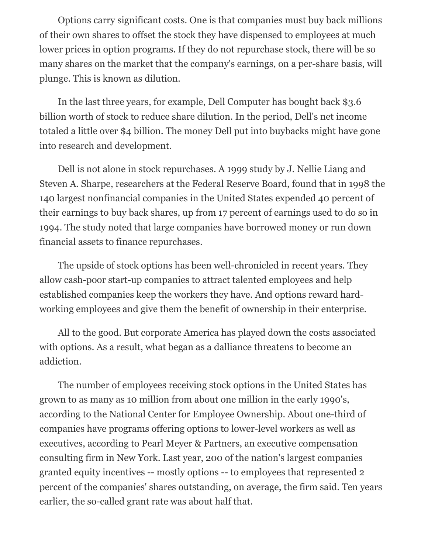Options carry significant costs. One is that companies must buy back millions of their own shares to offset the stock they have dispensed to employees at much lower prices in option programs. If they do not repurchase stock, there will be so many shares on the market that the company's earnings, on a per-share basis, will plunge. This is known as dilution.

In the last three years, for example, Dell Computer has bought back \$3.6 billion worth of stock to reduce share dilution. In the period, Dell's net income totaled a little over \$4 billion. The money Dell put into buybacks might have gone into research and development.

Dell is not alone in stock repurchases. A 1999 study by J. Nellie Liang and Steven A. Sharpe, researchers at the Federal Reserve Board, found that in 1998 the 140 largest nonfinancial companies in the United States expended 40 percent of their earnings to buy back shares, up from 17 percent of earnings used to do so in 1994. The study noted that large companies have borrowed money or run down financial assets to finance repurchases.

The upside of stock options has been well-chronicled in recent years. They allow cash-poor start-up companies to attract talented employees and help established companies keep the workers they have. And options reward hardworking employees and give them the benefit of ownership in their enterprise.

All to the good. But corporate America has played down the costs associated with options. As a result, what began as a dalliance threatens to become an addiction.

The number of employees receiving stock options in the United States has grown to as many as 10 million from about one million in the early 1990's, according to the National Center for Employee Ownership. About one-third of companies have programs offering options to lower-level workers as well as executives, according to Pearl Meyer & Partners, an executive compensation consulting firm in New York. Last year, 200 of the nation's largest companies granted equity incentives -- mostly options -- to employees that represented 2 percent of the companies' shares outstanding, on average, the firm said. Ten years earlier, the so-called grant rate was about half that.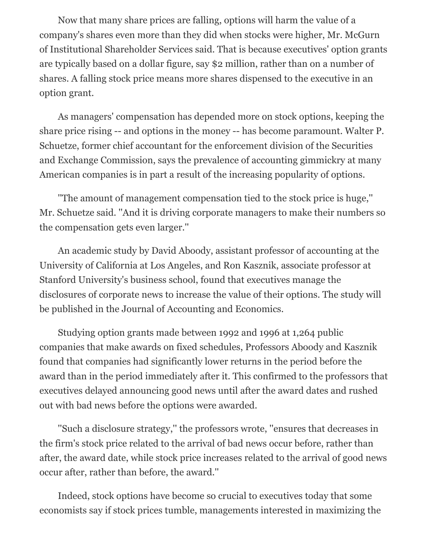Now that many share prices are falling, options will harm the value of a company's shares even more than they did when stocks were higher, Mr. McGurn of Institutional Shareholder Services said. That is because executives' option grants are typically based on a dollar figure, say \$2 million, rather than on a number of shares. A falling stock price means more shares dispensed to the executive in an option grant.

As managers' compensation has depended more on stock options, keeping the share price rising -- and options in the money -- has become paramount. Walter P. Schuetze, former chief accountant for the enforcement division of the Securities and Exchange Commission, says the prevalence of accounting gimmickry at many American companies is in part a result of the increasing popularity of options.

''The amount of management compensation tied to the stock price is huge,'' Mr. Schuetze said. ''And it is driving corporate managers to make their numbers so the compensation gets even larger.''

An academic study by David Aboody, assistant professor of accounting at the University of California at Los Angeles, and Ron Kasznik, associate professor at Stanford University's business school, found that executives manage the disclosures of corporate news to increase the value of their options. The study will be published in the Journal of Accounting and Economics.

Studying option grants made between 1992 and 1996 at 1,264 public companies that make awards on fixed schedules, Professors Aboody and Kasznik found that companies had significantly lower returns in the period before the award than in the period immediately after it. This confirmed to the professors that executives delayed announcing good news until after the award dates and rushed out with bad news before the options were awarded.

''Such a disclosure strategy,'' the professors wrote, ''ensures that decreases in the firm's stock price related to the arrival of bad news occur before, rather than after, the award date, while stock price increases related to the arrival of good news occur after, rather than before, the award.''

Indeed, stock options have become so crucial to executives today that some economists say if stock prices tumble, managements interested in maximizing the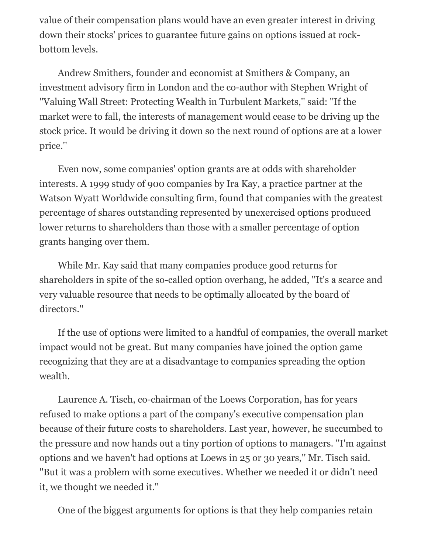value of their compensation plans would have an even greater interest in driving down their stocks' prices to guarantee future gains on options issued at rockbottom levels.

Andrew Smithers, founder and economist at Smithers & Company, an investment advisory firm in London and the co-author with Stephen Wright of ''Valuing Wall Street: Protecting Wealth in Turbulent Markets,'' said: ''If the market were to fall, the interests of management would cease to be driving up the stock price. It would be driving it down so the next round of options are at a lower price.''

Even now, some companies' option grants are at odds with shareholder interests. A 1999 study of 900 companies by Ira Kay, a practice partner at the Watson Wyatt Worldwide consulting firm, found that companies with the greatest percentage of shares outstanding represented by unexercised options produced lower returns to shareholders than those with a smaller percentage of option grants hanging over them.

While Mr. Kay said that many companies produce good returns for shareholders in spite of the so-called option overhang, he added, ''It's a scarce and very valuable resource that needs to be optimally allocated by the board of directors.''

If the use of options were limited to a handful of companies, the overall market impact would not be great. But many companies have joined the option game recognizing that they are at a disadvantage to companies spreading the option wealth.

Laurence A. Tisch, co-chairman of the Loews Corporation, has for years refused to make options a part of the company's executive compensation plan because of their future costs to shareholders. Last year, however, he succumbed to the pressure and now hands out a tiny portion of options to managers. ''I'm against options and we haven't had options at Loews in 25 or 30 years,'' Mr. Tisch said. ''But it was a problem with some executives. Whether we needed it or didn't need it, we thought we needed it.''

One of the biggest arguments for options is that they help companies retain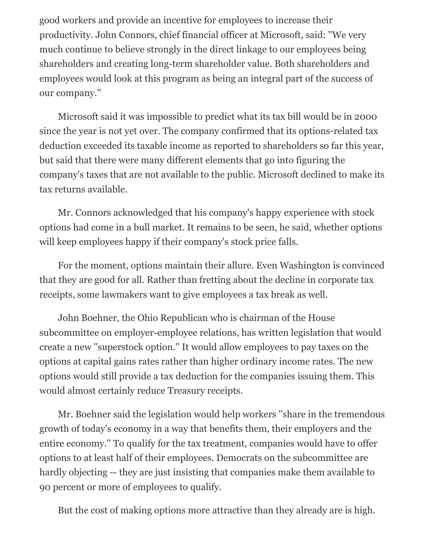good workers and provide an incentive for employees to increase their productivity. John Connors, chief financial officer at Microsoft, said: ''We very much continue to believe strongly in the direct linkage to our employees being shareholders and creating long-term shareholder value. Both shareholders and employees would look at this program as being an integral part of the success of our company.''

Microsoft said it was impossible to predict what its tax bill would be in 2000 since the year is not yet over. The company confirmed that its options-related tax deduction exceeded its taxable income as reported to shareholders so far this year, but said that there were many different elements that go into figuring the company's taxes that are not available to the public. Microsoft declined to make its tax returns available.

Mr. Connors acknowledged that his company's happy experience with stock options had come in a bull market. It remains to be seen, he said, whether options will keep employees happy if their company's stock price falls.

For the moment, options maintain their allure. Even Washington is convinced that they are good for all. Rather than fretting about the decline in corporate tax receipts, some lawmakers want to give employees a tax break as well.

John Boehner, the Ohio Republican who is chairman of the House subcommittee on employer-employee relations, has written legislation that would create a new ''superstock option.'' It would allow employees to pay taxes on the options at capital gains rates rather than higher ordinary income rates. The new options would still provide a tax deduction for the companies issuing them. This would almost certainly reduce Treasury receipts.

Mr. Boehner said the legislation would help workers ''share in the tremendous growth of today's economy in a way that benefits them, their employers and the entire economy.'' To qualify for the tax treatment, companies would have to offer options to at least half of their employees. Democrats on the subcommittee are hardly objecting -- they are just insisting that companies make them available to 90 percent or more of employees to qualify.

But the cost of making options more attractive than they already are is high.